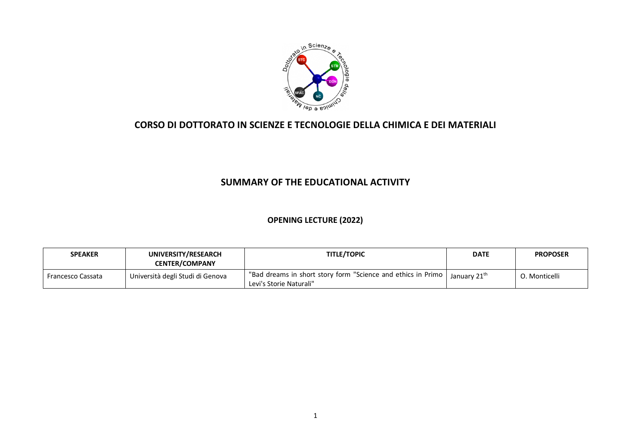

### **CORSO DI DOTTORATO IN SCIENZE E TECNOLOGIE DELLA CHIMICA E DEI MATERIALI**

## **SUMMARY OF THE EDUCATIONAL ACTIVITY**

#### **OPENING LECTURE (2022)**

| <b>SPEAKER</b>    | UNIVERSITY/RESEARCH<br><b>CENTER/COMPANY</b> | <b>TITLE/TOPIC</b>                                                                                                   | <b>DATE</b> | <b>PROPOSER</b> |
|-------------------|----------------------------------------------|----------------------------------------------------------------------------------------------------------------------|-------------|-----------------|
| Francesco Cassata | Università degli Studi di Genova             | I "Bad dreams in short story form "Science and ethics in Primo   January 21 <sup>th</sup><br>Levi's Storie Naturali" |             | 0. Monticelli   |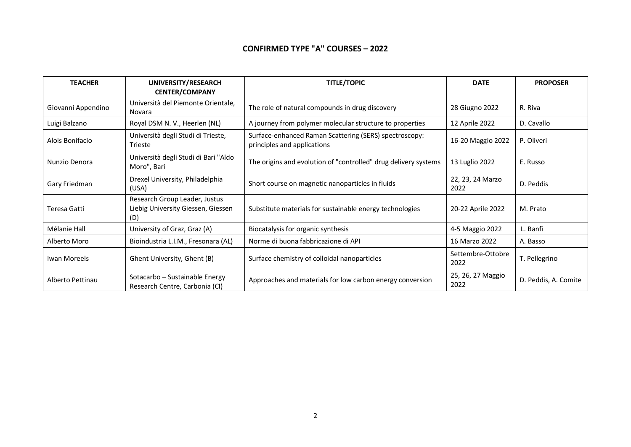#### **CONFIRMED TYPE "A" COURSES – 2022**

| <b>TEACHER</b>     | UNIVERSITY/RESEARCH<br><b>CENTER/COMPANY</b>                               | <b>TITLE/TOPIC</b>                                                                    | <b>DATE</b>               | <b>PROPOSER</b>      |
|--------------------|----------------------------------------------------------------------------|---------------------------------------------------------------------------------------|---------------------------|----------------------|
| Giovanni Appendino | Università del Piemonte Orientale,<br>Novara                               | The role of natural compounds in drug discovery                                       | 28 Giugno 2022            | R. Riva              |
| Luigi Balzano      | Royal DSM N. V., Heerlen (NL)                                              | A journey from polymer molecular structure to properties                              | 12 Aprile 2022            | D. Cavallo           |
| Alois Bonifacio    | Università degli Studi di Trieste,<br>Trieste                              | Surface-enhanced Raman Scattering (SERS) spectroscopy:<br>principles and applications | 16-20 Maggio 2022         | P. Oliveri           |
| Nunzio Denora      | Università degli Studi di Bari "Aldo<br>Moro", Bari                        | The origins and evolution of "controlled" drug delivery systems                       | 13 Luglio 2022            | E. Russo             |
| Gary Friedman      | Drexel University, Philadelphia<br>(USA)                                   | Short course on magnetic nanoparticles in fluids                                      | 22, 23, 24 Marzo<br>2022  | D. Peddis            |
| Teresa Gatti       | Research Group Leader, Justus<br>Liebig University Giessen, Giessen<br>(D) | Substitute materials for sustainable energy technologies                              | 20-22 Aprile 2022         | M. Prato             |
| Mélanie Hall       | University of Graz, Graz (A)                                               | Biocatalysis for organic synthesis                                                    | 4-5 Maggio 2022           | L. Banfi             |
| Alberto Moro       | Bioindustria L.I.M., Fresonara (AL)                                        | Norme di buona fabbricazione di API                                                   | 16 Marzo 2022             | A. Basso             |
| Iwan Moreels       | Ghent University, Ghent (B)                                                | Surface chemistry of colloidal nanoparticles                                          | Settembre-Ottobre<br>2022 | T. Pellegrino        |
| Alberto Pettinau   | Sotacarbo – Sustainable Energy<br>Research Centre, Carbonia (CI)           | Approaches and materials for low carbon energy conversion                             | 25, 26, 27 Maggio<br>2022 | D. Peddis, A. Comite |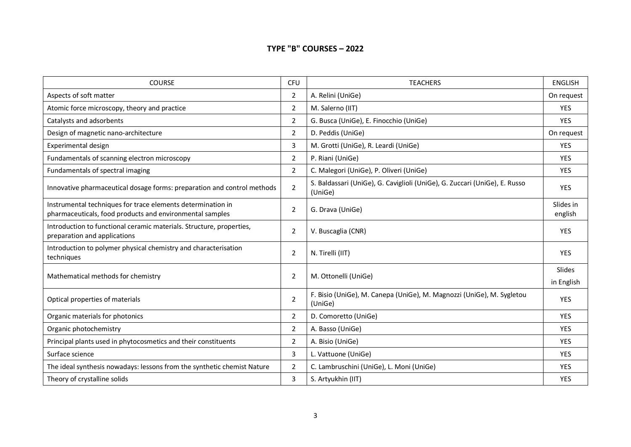#### **TYPE "B" COURSES – 2022**

| <b>COURSE</b>                                                                                                           | <b>CFU</b>     | <b>TEACHERS</b>                                                                       | <b>ENGLISH</b>       |
|-------------------------------------------------------------------------------------------------------------------------|----------------|---------------------------------------------------------------------------------------|----------------------|
| Aspects of soft matter                                                                                                  | $\overline{2}$ | A. Relini (UniGe)                                                                     | On request           |
| Atomic force microscopy, theory and practice                                                                            | $\overline{2}$ | M. Salerno (IIT)                                                                      | <b>YES</b>           |
| Catalysts and adsorbents                                                                                                | $\overline{2}$ | G. Busca (UniGe), E. Finocchio (UniGe)                                                | YES                  |
| Design of magnetic nano-architecture                                                                                    | $\overline{2}$ | D. Peddis (UniGe)                                                                     | On request           |
| Experimental design                                                                                                     | 3              | M. Grotti (UniGe), R. Leardi (UniGe)                                                  | <b>YES</b>           |
| Fundamentals of scanning electron microscopy                                                                            | $\overline{2}$ | P. Riani (UniGe)                                                                      | <b>YES</b>           |
| Fundamentals of spectral imaging                                                                                        | $\overline{2}$ | C. Malegori (UniGe), P. Oliveri (UniGe)                                               | <b>YES</b>           |
| Innovative pharmaceutical dosage forms: preparation and control methods                                                 | $\overline{2}$ | S. Baldassari (UniGe), G. Caviglioli (UniGe), G. Zuccari (UniGe), E. Russo<br>(UniGe) | <b>YES</b>           |
| Instrumental techniques for trace elements determination in<br>pharmaceuticals, food products and environmental samples | $\mathbf 2$    | G. Drava (UniGe)                                                                      | Slides in<br>english |
| Introduction to functional ceramic materials. Structure, properties,<br>preparation and applications                    | $\overline{2}$ | V. Buscaglia (CNR)                                                                    | <b>YES</b>           |
| Introduction to polymer physical chemistry and characterisation<br>techniques                                           | $\overline{2}$ | N. Tirelli (IIT)                                                                      | <b>YES</b>           |
| Mathematical methods for chemistry                                                                                      |                | M. Ottonelli (UniGe)                                                                  | Slides               |
|                                                                                                                         |                |                                                                                       | in English           |
| Optical properties of materials                                                                                         | $\overline{2}$ | F. Bisio (UniGe), M. Canepa (UniGe), M. Magnozzi (UniGe), M. Sygletou<br>(UniGe)      | <b>YES</b>           |
| Organic materials for photonics                                                                                         | $\overline{2}$ | D. Comoretto (UniGe)                                                                  | <b>YES</b>           |
| Organic photochemistry                                                                                                  | $\overline{2}$ | A. Basso (UniGe)                                                                      | <b>YES</b>           |
| Principal plants used in phytocosmetics and their constituents                                                          | $\overline{2}$ | A. Bisio (UniGe)                                                                      | <b>YES</b>           |
| Surface science                                                                                                         | 3              | L. Vattuone (UniGe)                                                                   | <b>YES</b>           |
| The ideal synthesis nowadays: lessons from the synthetic chemist Nature                                                 | $\overline{2}$ | C. Lambruschini (UniGe), L. Moni (UniGe)                                              | <b>YES</b>           |
| Theory of crystalline solids                                                                                            | 3              | S. Artyukhin (IIT)                                                                    | <b>YES</b>           |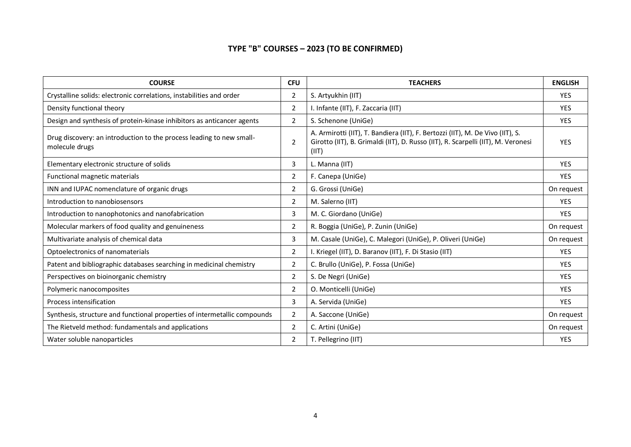## **TYPE "B" COURSES – 2023 (TO BE CONFIRMED)**

| <b>COURSE</b>                                                                          | <b>CFU</b>     | <b>TEACHERS</b>                                                                                                                                                              | <b>ENGLISH</b> |
|----------------------------------------------------------------------------------------|----------------|------------------------------------------------------------------------------------------------------------------------------------------------------------------------------|----------------|
| Crystalline solids: electronic correlations, instabilities and order                   | $\overline{2}$ | S. Artyukhin (IIT)                                                                                                                                                           | <b>YES</b>     |
| Density functional theory                                                              | 2              | I. Infante (IIT), F. Zaccaria (IIT)                                                                                                                                          | <b>YES</b>     |
| Design and synthesis of protein-kinase inhibitors as anticancer agents                 | $\overline{2}$ | S. Schenone (UniGe)                                                                                                                                                          | <b>YES</b>     |
| Drug discovery: an introduction to the process leading to new small-<br>molecule drugs | $\overline{2}$ | A. Armirotti (IIT), T. Bandiera (IIT), F. Bertozzi (IIT), M. De Vivo (IIT), S.<br>Girotto (IIT), B. Grimaldi (IIT), D. Russo (IIT), R. Scarpelli (IIT), M. Veronesi<br>(III) | <b>YES</b>     |
| Elementary electronic structure of solids                                              | 3              | L. Manna (IIT)                                                                                                                                                               | <b>YES</b>     |
| Functional magnetic materials                                                          | $\overline{2}$ | F. Canepa (UniGe)                                                                                                                                                            | <b>YES</b>     |
| INN and IUPAC nomenclature of organic drugs                                            | $\overline{2}$ | G. Grossi (UniGe)                                                                                                                                                            | On request     |
| Introduction to nanobiosensors                                                         | $\overline{2}$ | M. Salerno (IIT)                                                                                                                                                             | <b>YES</b>     |
| Introduction to nanophotonics and nanofabrication                                      | 3              | M. C. Giordano (UniGe)                                                                                                                                                       | <b>YES</b>     |
| Molecular markers of food quality and genuineness                                      | 2              | R. Boggia (UniGe), P. Zunin (UniGe)                                                                                                                                          | On request     |
| Multivariate analysis of chemical data                                                 | 3              | M. Casale (UniGe), C. Malegori (UniGe), P. Oliveri (UniGe)                                                                                                                   | On request     |
| Optoelectronics of nanomaterials                                                       | $\overline{2}$ | I. Kriegel (IIT), D. Baranov (IIT), F. Di Stasio (IIT)                                                                                                                       | <b>YES</b>     |
| Patent and bibliographic databases searching in medicinal chemistry                    | $\overline{2}$ | C. Brullo (UniGe), P. Fossa (UniGe)                                                                                                                                          | <b>YES</b>     |
| Perspectives on bioinorganic chemistry                                                 | $\overline{2}$ | S. De Negri (UniGe)                                                                                                                                                          | <b>YES</b>     |
| Polymeric nanocomposites                                                               | 2              | O. Monticelli (UniGe)                                                                                                                                                        | <b>YES</b>     |
| Process intensification                                                                | 3              | A. Servida (UniGe)                                                                                                                                                           | <b>YES</b>     |
| Synthesis, structure and functional properties of intermetallic compounds              | $\overline{2}$ | A. Saccone (UniGe)                                                                                                                                                           | On request     |
| The Rietveld method: fundamentals and applications                                     | $\overline{2}$ | C. Artini (UniGe)                                                                                                                                                            | On request     |
| Water soluble nanoparticles                                                            | 2              | T. Pellegrino (IIT)                                                                                                                                                          | <b>YES</b>     |